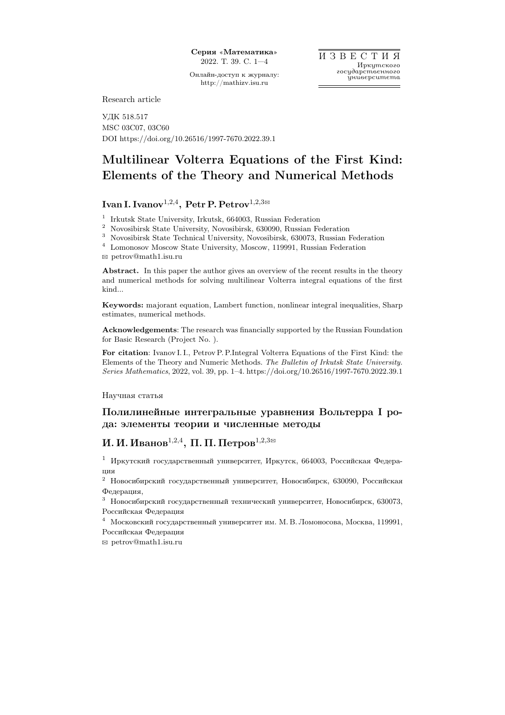Онлайн-доступ к журналу: http://mathizv.isu.ru

Research article

УДК 518.517 MSC 03C07, 03C60 DOI https://doi.org/10.26516/1997-7670.2022.39.1

# Multilinear Volterra Equations of the First Kind: Elements of the Theory and Numerical Methods

## Ivan I. Ivanov $^{1,2,4}, \, {\rm Petr\,P. \, Petrov}^{1,2,3\boxtimes}$

1 Irkutsk State University, Irkutsk, 664003, Russian Federation

<sup>2</sup> Novosibirsk State University, Novosibirsk, 630090, Russian Federation

 $^3\,$  Novosibirsk State Technical University, Novosibirsk, 630073, Russian Federation

 $^4\;$  Lomonosov Moscow State University, Moscow, 119991, Russian Federation

B petrov@math1.isu.ru

Abstract. In this paper the author gives an overview of the recent results in the theory and numerical methods for solving multilinear Volterra integral equations of the first kind...

Keywords: majorant equation, Lambert function, nonlinear integral inequalities, Sharp estimates, numerical methods.

Acknowledgements: The research was financially supported by the Russian Foundation for Basic Research (Project No. ).

For citation: Ivanov I. I., Petrov P. P.Integral Volterra Equations of the First Kind: the Elements of the Theory and Numeric Methods. The Bulletin of Irkutsk State University. Series Mathematics, 2022, vol. 39, pp. 1–4. https://doi.org/10.26516/1997-7670.2022.39.1

Научная статья

### Полилинейные интегральные уравнения Вольтерра I рода: элементы теории и численные методы

## И. И. Иванов $^{1,2,4},\ \Pi.$  П. Петров $^{1,2,3\boxtimes}$

<sup>1</sup> Иркутский государственный университет, Иркутск, 664003, Российская Федерация

 $^2\,$ Новосибирский государственный университет, Новосибирск, 630090, Российская Федерация,

<sup>3</sup> Новосибирский государственный технический университет, Новосибирск, 630073, Российская Федерация

<sup>4</sup> Московский государственный университет им. М. В. Ломоносова, Москва, 119991, Российская Федерация

B petrov@math1.isu.ru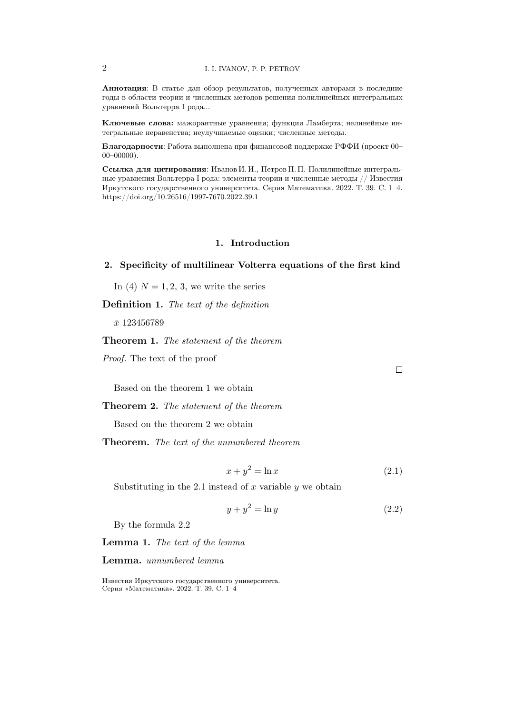Аннотация: В статье дан обзор результатов, полученных авторами в последние годы в области теории и численных методов решения полилинейных интегральных уравнений Вольтерра I рода...

Ключевые слова: мажорантные уравнения; функция Ламберта; нелинейные интегральные неравенства; неулучшаемые оценки; численные методы.

Благодарности: Работа выполнена при финансовой поддержке РФФИ (проект 00- $00 - 00000$ ).

Ссылка для цитирования: Иванов И. И., Петров П. П. Полилинейные интегральные уравнения Вольтерра I рода: элементы теории и численные методы // Известия Иркутского государственного университета. Серия Математика. 2022. Т. 39. С. 1-4. https://doi.org/10.26516/1997-7670.2022.39.1

#### 1. Introduction

#### 2. Specificity of multilinear Volterra equations of the first kind

In (4)  $N = 1, 2, 3$ , we write the series

**Definition 1.** The text of the definition

 $\bar{x}$  123456789

#### **Theorem 1.** The statement of the theorem

*Proof.* The text of the proof

Based on the theorem 1 we obtain

**Theorem 2.** The statement of the theorem

Based on the theorem 2 we obtain

Theorem. The text of the unnumbered theorem

$$
x + y^2 = \ln x \tag{2.1}
$$

Substituting in the 2.1 instead of  $x$  variable  $y$  we obtain

$$
y + y^2 = \ln y \tag{2.2}
$$

By the formula 2.2

Lemma 1. The text of the lemma

Lemma. unnumbered lemma

 $\overline{2}$ 

 $\Box$ 

Известия Иркутского государственного университета. Серия «Математика». 2022. Т. 39. С. 1-4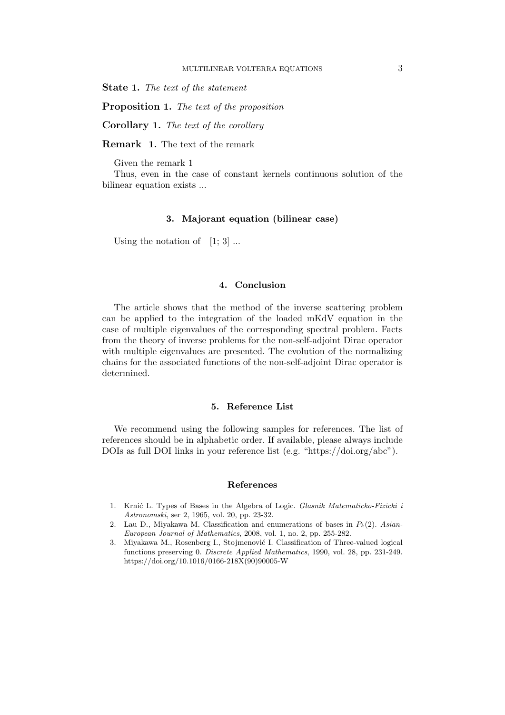State 1. The text of the statement

Proposition 1. The text of the proposition

Corollary 1. The text of the corollary

Remark 1. The text of the remark

Given the remark 1

Thus, even in the case of constant kernels continuous solution of the bilinear equation exists ...

#### 3. Majorant equation (bilinear case)

Using the notation of  $[1; 3]$  ...

#### 4. Conclusion

The article shows that the method of the inverse scattering problem can be applied to the integration of the loaded mKdV equation in the case of multiple eigenvalues of the corresponding spectral problem. Facts from the theory of inverse problems for the non-self-adjoint Dirac operator with multiple eigenvalues are presented. The evolution of the normalizing chains for the associated functions of the non-self-adjoint Dirac operator is determined.

#### 5. Reference List

We recommend using the following samples for references. The list of references should be in alphabetic order. If available, please always include DOIs as full DOI links in your reference list (e.g. "https://doi.org/abc").

#### References

- 1. Krnić L. Types of Bases in the Algebra of Logic. Glasnik Matematicko-Fizicki i Astronomski, ser 2, 1965, vol. 20, pp. 23-32.
- 2. Lau D., Miyakawa M. Classification and enumerations of bases in  $P_k(2)$ . Asian-European Journal of Mathematics, 2008, vol. 1, no. 2, pp. 255-282.
- 3. Miyakawa M., Rosenberg I., Stojmenović I. Classification of Three-valued logical functions preserving 0. Discrete Applied Mathematics, 1990, vol. 28, pp. 231-249. https://doi.org/10.1016/0166-218X(90)90005-W